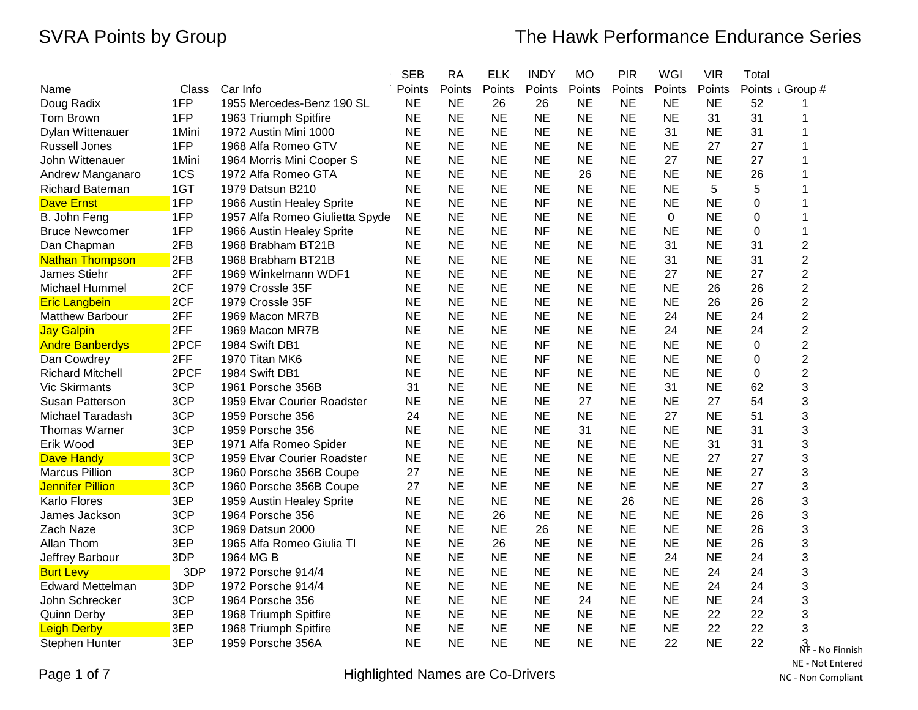|                         |        |                                 | <b>SEB</b> | <b>RA</b> | <b>ELK</b> | <b>INDY</b> | <b>MO</b> | <b>PIR</b> | WGI       | <b>VIR</b> | Total |                             |
|-------------------------|--------|---------------------------------|------------|-----------|------------|-------------|-----------|------------|-----------|------------|-------|-----------------------------|
| Name                    | Class  | Car Info                        | Points     | Points    | Points     | Points      | Points    | Points     | Points    | Points     |       | Points <sub>I</sub> Group # |
| Doug Radix              | 1FP    | 1955 Mercedes-Benz 190 SL       | <b>NE</b>  | <b>NE</b> | 26         | 26          | <b>NE</b> | <b>NE</b>  | <b>NE</b> | <b>NE</b>  | 52    |                             |
| Tom Brown               | 1FP    | 1963 Triumph Spitfire           | <b>NE</b>  | <b>NE</b> | <b>NE</b>  | <b>NE</b>   | <b>NE</b> | <b>NE</b>  | <b>NE</b> | 31         | 31    |                             |
| Dylan Wittenauer        | 1Mini  | 1972 Austin Mini 1000           | <b>NE</b>  | <b>NE</b> | <b>NE</b>  | <b>NE</b>   | <b>NE</b> | <b>NE</b>  | 31        | <b>NE</b>  | 31    |                             |
| <b>Russell Jones</b>    | 1FP    | 1968 Alfa Romeo GTV             | <b>NE</b>  | <b>NE</b> | <b>NE</b>  | <b>NE</b>   | <b>NE</b> | <b>NE</b>  | <b>NE</b> | 27         | 27    |                             |
| John Wittenauer         | 1 Mini | 1964 Morris Mini Cooper S       | <b>NE</b>  | <b>NE</b> | <b>NE</b>  | <b>NE</b>   | <b>NE</b> | <b>NE</b>  | 27        | <b>NE</b>  | 27    | 1                           |
| Andrew Manganaro        | 1CS    | 1972 Alfa Romeo GTA             | <b>NE</b>  | <b>NE</b> | <b>NE</b>  | <b>NE</b>   | 26        | <b>NE</b>  | <b>NE</b> | <b>NE</b>  | 26    |                             |
| <b>Richard Bateman</b>  | 1GT    | 1979 Datsun B210                | <b>NE</b>  | <b>NE</b> | <b>NE</b>  | <b>NE</b>   | <b>NE</b> | <b>NE</b>  | NE.       | 5          | 5     |                             |
| Dave Ernst              | 1FP    | 1966 Austin Healey Sprite       | <b>NE</b>  | <b>NE</b> | <b>NE</b>  | <b>NF</b>   | <b>NE</b> | <b>NE</b>  | <b>NE</b> | <b>NE</b>  | 0     | 1                           |
| B. John Feng            | 1FP    | 1957 Alfa Romeo Giulietta Spyde | <b>NE</b>  | <b>NE</b> | <b>NE</b>  | <b>NE</b>   | <b>NE</b> | <b>NE</b>  | $\Omega$  | <b>NE</b>  | 0     |                             |
| <b>Bruce Newcomer</b>   | 1FP    | 1966 Austin Healey Sprite       | <b>NE</b>  | <b>NE</b> | <b>NE</b>  | <b>NF</b>   | <b>NE</b> | <b>NE</b>  | <b>NE</b> | <b>NE</b>  | 0     | 1                           |
| Dan Chapman             | 2FB    | 1968 Brabham BT21B              | <b>NE</b>  | <b>NE</b> | <b>NE</b>  | <b>NE</b>   | <b>NE</b> | <b>NE</b>  | 31        | <b>NE</b>  | 31    | 2                           |
| <b>Nathan Thompson</b>  | 2FB    | 1968 Brabham BT21B              | <b>NE</b>  | <b>NE</b> | <b>NE</b>  | <b>NE</b>   | <b>NE</b> | <b>NE</b>  | 31        | <b>NE</b>  | 31    | $\overline{2}$              |
| James Stiehr            | 2FF    | 1969 Winkelmann WDF1            | <b>NE</b>  | <b>NE</b> | <b>NE</b>  | <b>NE</b>   | <b>NE</b> | <b>NE</b>  | 27        | <b>NE</b>  | 27    | $\overline{c}$              |
| Michael Hummel          | 2CF    | 1979 Crossle 35F                | <b>NE</b>  | <b>NE</b> | <b>NE</b>  | <b>NE</b>   | <b>NE</b> | <b>NE</b>  | <b>NE</b> | 26         | 26    | $\overline{\mathbf{c}}$     |
| <b>Eric Langbein</b>    | 2CF    | 1979 Crossle 35F                | <b>NE</b>  | <b>NE</b> | <b>NE</b>  | <b>NE</b>   | <b>NE</b> | <b>NE</b>  | <b>NE</b> | 26         | 26    | $\overline{\mathbf{c}}$     |
| <b>Matthew Barbour</b>  | 2FF    | 1969 Macon MR7B                 | <b>NE</b>  | <b>NE</b> | <b>NE</b>  | <b>NE</b>   | <b>NE</b> | <b>NE</b>  | 24        | <b>NE</b>  | 24    | $\overline{\mathbf{c}}$     |
| <b>Jay Galpin</b>       | 2FF    | 1969 Macon MR7B                 | <b>NE</b>  | <b>NE</b> | <b>NE</b>  | <b>NE</b>   | <b>NE</b> | <b>NE</b>  | 24        | <b>NE</b>  | 24    | $\overline{c}$              |
| <b>Andre Banberdys</b>  | 2PCF   | 1984 Swift DB1                  | <b>NE</b>  | <b>NE</b> | <b>NE</b>  | <b>NF</b>   | <b>NE</b> | <b>NE</b>  | <b>NE</b> | <b>NE</b>  | 0     | $\overline{\mathbf{c}}$     |
| Dan Cowdrey             | 2FF    | 1970 Titan MK6                  | <b>NE</b>  | <b>NE</b> | <b>NE</b>  | <b>NF</b>   | <b>NE</b> | <b>NE</b>  | <b>NE</b> | <b>NE</b>  | 0     | $\overline{c}$              |
| <b>Richard Mitchell</b> | 2PCF   | 1984 Swift DB1                  | <b>NE</b>  | <b>NE</b> | <b>NE</b>  | <b>NF</b>   | <b>NE</b> | <b>NE</b>  | <b>NE</b> | <b>NE</b>  | 0     | $\overline{c}$              |
| <b>Vic Skirmants</b>    | 3CP    | 1961 Porsche 356B               | 31         | <b>NE</b> | <b>NE</b>  | <b>NE</b>   | <b>NE</b> | <b>NE</b>  | 31        | <b>NE</b>  | 62    | 3                           |
| Susan Patterson         | 3CP    | 1959 Elvar Courier Roadster     | <b>NE</b>  | <b>NE</b> | <b>NE</b>  | <b>NE</b>   | 27        | <b>NE</b>  | <b>NE</b> | 27         | 54    | 3                           |
| Michael Taradash        | 3CP    | 1959 Porsche 356                | 24         | <b>NE</b> | <b>NE</b>  | <b>NE</b>   | <b>NE</b> | <b>NE</b>  | 27        | <b>NE</b>  | 51    | 3                           |
| Thomas Warner           | 3CP    | 1959 Porsche 356                | <b>NE</b>  | <b>NE</b> | <b>NE</b>  | <b>NE</b>   | 31        | <b>NE</b>  | <b>NE</b> | <b>NE</b>  | 31    | 3                           |
| Erik Wood               | 3EP    | 1971 Alfa Romeo Spider          | <b>NE</b>  | <b>NE</b> | <b>NE</b>  | <b>NE</b>   | <b>NE</b> | <b>NE</b>  | <b>NE</b> | 31         | 31    | 3                           |
| <b>Dave Handy</b>       | 3CP    | 1959 Elvar Courier Roadster     | <b>NE</b>  | <b>NE</b> | <b>NE</b>  | <b>NE</b>   | <b>NE</b> | <b>NE</b>  | <b>NE</b> | 27         | 27    | 3                           |
| <b>Marcus Pillion</b>   | 3CP    | 1960 Porsche 356B Coupe         | 27         | <b>NE</b> | <b>NE</b>  | <b>NE</b>   | <b>NE</b> | <b>NE</b>  | <b>NE</b> | <b>NE</b>  | 27    | 3                           |
| <b>Jennifer Pillion</b> | 3CP    | 1960 Porsche 356B Coupe         | 27         | <b>NE</b> | <b>NE</b>  | <b>NE</b>   | <b>NE</b> | <b>NE</b>  | <b>NE</b> | <b>NE</b>  | 27    | 3                           |
| <b>Karlo Flores</b>     | 3EP    | 1959 Austin Healey Sprite       | <b>NE</b>  | <b>NE</b> | <b>NE</b>  | <b>NE</b>   | <b>NE</b> | 26         | <b>NE</b> | <b>NE</b>  | 26    | 3                           |
| James Jackson           | 3CP    | 1964 Porsche 356                | <b>NE</b>  | <b>NE</b> | 26         | <b>NE</b>   | <b>NE</b> | <b>NE</b>  | <b>NE</b> | <b>NE</b>  | 26    | 3                           |
| Zach Naze               | 3CP    | 1969 Datsun 2000                | <b>NE</b>  | <b>NE</b> | <b>NE</b>  | 26          | <b>NE</b> | <b>NE</b>  | <b>NE</b> | <b>NE</b>  | 26    | 3                           |
| Allan Thom              | 3EP    | 1965 Alfa Romeo Giulia TI       | <b>NE</b>  | <b>NE</b> | 26         | <b>NE</b>   | <b>NE</b> | <b>NE</b>  | <b>NE</b> | <b>NE</b>  | 26    | 3                           |
| Jeffrey Barbour         | 3DP    | 1964 MG B                       | <b>NE</b>  | <b>NE</b> | <b>NE</b>  | <b>NE</b>   | <b>NE</b> | <b>NE</b>  | 24        | <b>NE</b>  | 24    | 3                           |
| <b>Burt Levy</b>        | 3DP    | 1972 Porsche 914/4              | <b>NE</b>  | <b>NE</b> | <b>NE</b>  | <b>NE</b>   | <b>NE</b> | <b>NE</b>  | <b>NE</b> | 24         | 24    | 3                           |
| <b>Edward Mettelman</b> | 3DP    | 1972 Porsche 914/4              | <b>NE</b>  | <b>NE</b> | <b>NE</b>  | <b>NE</b>   | <b>NE</b> | <b>NE</b>  | <b>NE</b> | 24         | 24    | 3                           |
| John Schrecker          | 3CP    | 1964 Porsche 356                | <b>NE</b>  | <b>NE</b> | <b>NE</b>  | <b>NE</b>   | 24        | <b>NE</b>  | <b>NE</b> | <b>NE</b>  | 24    | 3                           |
| <b>Quinn Derby</b>      | 3EP    | 1968 Triumph Spitfire           | <b>NE</b>  | <b>NE</b> | <b>NE</b>  | <b>NE</b>   | <b>NE</b> | <b>NE</b>  | <b>NE</b> | 22         | 22    | 3                           |
| <b>Leigh Derby</b>      | 3EP    | 1968 Triumph Spitfire           | <b>NE</b>  | <b>NE</b> | <b>NE</b>  | <b>NE</b>   | <b>NE</b> | <b>NE</b>  | <b>NE</b> | 22         | 22    | 3                           |
| <b>Stephen Hunter</b>   | 3EP    | 1959 Porsche 356A               | <b>NE</b>  | <b>NE</b> | <b>NE</b>  | <b>NE</b>   | <b>NE</b> | <b>NE</b>  | 22        | <b>NE</b>  | 22    | 썅<br>- No Finnish           |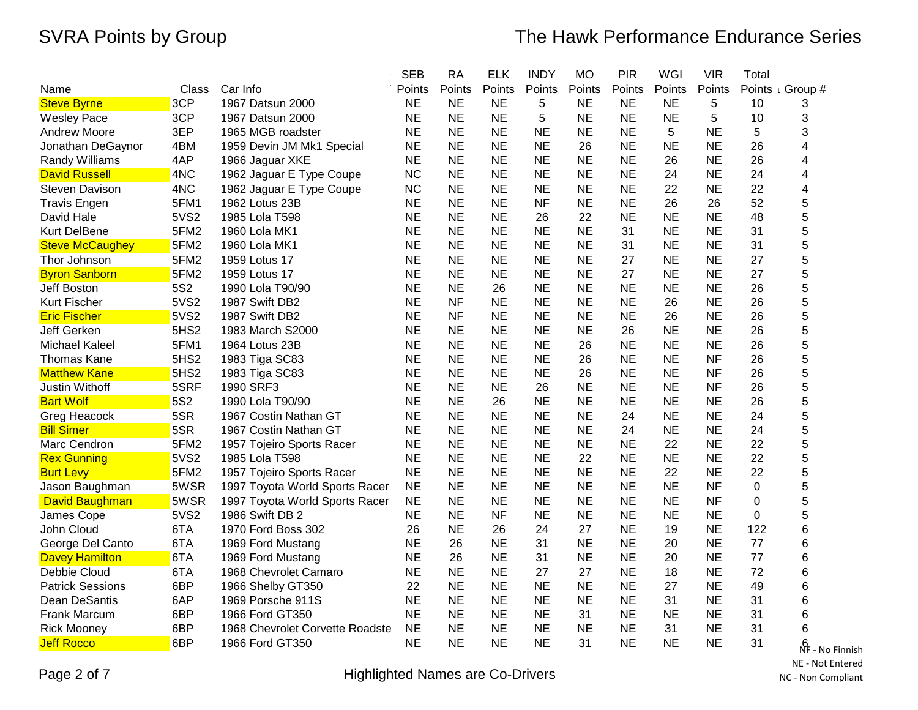|                         |                  |                                 | <b>SEB</b> | <b>RA</b> | <b>ELK</b> | <b>INDY</b> | <b>MO</b> | <b>PIR</b> | WGI       | <b>VIR</b> | Total    |                  |
|-------------------------|------------------|---------------------------------|------------|-----------|------------|-------------|-----------|------------|-----------|------------|----------|------------------|
| Name                    | Class            | Car Info                        | Points     | Points    | Points     | Points      | Points    | Points     | Points    | Points     |          | Points Group #   |
| <b>Steve Byrne</b>      | 3CP              | 1967 Datsun 2000                | <b>NE</b>  | <b>NE</b> | <b>NE</b>  | 5           | <b>NE</b> | <b>NE</b>  | <b>NE</b> | 5          | 10       | 3                |
| <b>Wesley Pace</b>      | 3CP              | 1967 Datsun 2000                | <b>NE</b>  | <b>NE</b> | <b>NE</b>  | 5           | <b>NE</b> | <b>NE</b>  | <b>NE</b> | 5          | 10       | 3                |
| Andrew Moore            | 3EP              | 1965 MGB roadster               | <b>NE</b>  | <b>NE</b> | <b>NE</b>  | <b>NE</b>   | <b>NE</b> | <b>NE</b>  | 5         | <b>NE</b>  | 5        | 3                |
| Jonathan DeGaynor       | 4BM              | 1959 Devin JM Mk1 Special       | <b>NE</b>  | <b>NE</b> | <b>NE</b>  | <b>NE</b>   | 26        | <b>NE</b>  | <b>NE</b> | NE         | 26       | 4                |
| Randy Williams          | 4AP              | 1966 Jaguar XKE                 | <b>NE</b>  | <b>NE</b> | <b>NE</b>  | <b>NE</b>   | <b>NE</b> | <b>NE</b>  | 26        | <b>NE</b>  | 26       | 4                |
| <b>David Russell</b>    | 4NC              | 1962 Jaguar E Type Coupe        | <b>NC</b>  | <b>NE</b> | <b>NE</b>  | <b>NE</b>   | <b>NE</b> | <b>NE</b>  | 24        | NE         | 24       | 4                |
| <b>Steven Davison</b>   | 4NC              | 1962 Jaguar E Type Coupe        | <b>NC</b>  | <b>NE</b> | <b>NE</b>  | <b>NE</b>   | <b>NE</b> | <b>NE</b>  | 22        | <b>NE</b>  | 22       | 4                |
| <b>Travis Engen</b>     | 5FM1             | 1962 Lotus 23B                  | <b>NE</b>  | <b>NE</b> | <b>NE</b>  | <b>NF</b>   | <b>NE</b> | <b>NE</b>  | 26        | 26         | 52       | 5                |
| David Hale              | 5VS2             | 1985 Lola T598                  | <b>NE</b>  | <b>NE</b> | <b>NE</b>  | 26          | 22        | <b>NE</b>  | <b>NE</b> | <b>NE</b>  | 48       | 5                |
| Kurt DelBene            | 5FM2             | 1960 Lola MK1                   | <b>NE</b>  | <b>NE</b> | <b>NE</b>  | <b>NE</b>   | <b>NE</b> | 31         | <b>NE</b> | <b>NE</b>  | 31       | 5                |
| <b>Steve McCaughey</b>  | 5FM2             | 1960 Lola MK1                   | <b>NE</b>  | <b>NE</b> | <b>NE</b>  | <b>NE</b>   | <b>NE</b> | 31         | <b>NE</b> | <b>NE</b>  | 31       | 5                |
| Thor Johnson            | 5FM2             | 1959 Lotus 17                   | <b>NE</b>  | <b>NE</b> | <b>NE</b>  | <b>NE</b>   | <b>NE</b> | 27         | <b>NE</b> | <b>NE</b>  | 27       | 5                |
| <b>Byron Sanborn</b>    | 5FM2             | 1959 Lotus 17                   | <b>NE</b>  | <b>NE</b> | <b>NE</b>  | <b>NE</b>   | <b>NE</b> | 27         | <b>NE</b> | <b>NE</b>  | 27       | 5                |
| Jeff Boston             | 5S2              | 1990 Lola T90/90                | <b>NE</b>  | <b>NE</b> | 26         | <b>NE</b>   | <b>NE</b> | <b>NE</b>  | <b>NE</b> | <b>NE</b>  | 26       | 5                |
| <b>Kurt Fischer</b>     | 5VS2             | 1987 Swift DB2                  | <b>NE</b>  | <b>NF</b> | <b>NE</b>  | <b>NE</b>   | <b>NE</b> | <b>NE</b>  | 26        | <b>NE</b>  | 26       | 5                |
| <b>Eric Fischer</b>     | <b>5VS2</b>      | 1987 Swift DB2                  | <b>NE</b>  | <b>NF</b> | <b>NE</b>  | <b>NE</b>   | <b>NE</b> | <b>NE</b>  | 26        | <b>NE</b>  | 26       | 5                |
| Jeff Gerken             | 5HS2             | 1983 March S2000                | <b>NE</b>  | <b>NE</b> | <b>NE</b>  | <b>NE</b>   | <b>NE</b> | 26         | NE        | NE         | 26       | 5                |
| <b>Michael Kaleel</b>   | 5FM1             | 1964 Lotus 23B                  | <b>NE</b>  | <b>NE</b> | <b>NE</b>  | <b>NE</b>   | 26        | <b>NE</b>  | <b>NE</b> | <b>NE</b>  | 26       | 5                |
| <b>Thomas Kane</b>      | 5HS <sub>2</sub> | 1983 Tiga SC83                  | <b>NE</b>  | <b>NE</b> | <b>NE</b>  | <b>NE</b>   | 26        | <b>NE</b>  | <b>NE</b> | <b>NF</b>  | 26       | 5                |
| <b>Matthew Kane</b>     | 5HS <sub>2</sub> | 1983 Tiga SC83                  | <b>NE</b>  | <b>NE</b> | <b>NE</b>  | <b>NE</b>   | 26        | <b>NE</b>  | <b>NE</b> | <b>NF</b>  | 26       | 5                |
| <b>Justin Withoff</b>   | 5SRF             | 1990 SRF3                       | <b>NE</b>  | <b>NE</b> | <b>NE</b>  | 26          | <b>NE</b> | <b>NE</b>  | <b>NE</b> | <b>NF</b>  | 26       | 5                |
| <b>Bart Wolf</b>        | 5S2              | 1990 Lola T90/90                | <b>NE</b>  | <b>NE</b> | 26         | <b>NE</b>   | <b>NE</b> | <b>NE</b>  | <b>NE</b> | NE         | 26       | 5                |
| Greg Heacock            | 5SR              | 1967 Costin Nathan GT           | <b>NE</b>  | <b>NE</b> | <b>NE</b>  | <b>NE</b>   | <b>NE</b> | 24         | <b>NE</b> | <b>NE</b>  | 24       | 5                |
| <b>Bill Simer</b>       | 5SR              | 1967 Costin Nathan GT           | <b>NE</b>  | <b>NE</b> | <b>NE</b>  | <b>NE</b>   | <b>NE</b> | 24         | <b>NE</b> | <b>NE</b>  | 24       | 5                |
| Marc Cendron            | 5FM2             | 1957 Tojeiro Sports Racer       | <b>NE</b>  | <b>NE</b> | <b>NE</b>  | <b>NE</b>   | <b>NE</b> | <b>NE</b>  | 22        | <b>NE</b>  | 22       | 5                |
| <b>Rex Gunning</b>      | 5VS2             | 1985 Lola T598                  | <b>NE</b>  | <b>NE</b> | <b>NE</b>  | <b>NE</b>   | 22        | <b>NE</b>  | <b>NE</b> | <b>NE</b>  | 22       | 5                |
| <b>Burt Levy</b>        | 5FM2             | 1957 Tojeiro Sports Racer       | <b>NE</b>  | <b>NE</b> | <b>NE</b>  | <b>NE</b>   | <b>NE</b> | <b>NE</b>  | 22        | <b>NE</b>  | 22       | 5                |
| Jason Baughman          | 5WSR             | 1997 Toyota World Sports Racer  | <b>NE</b>  | <b>NE</b> | <b>NE</b>  | <b>NE</b>   | <b>NE</b> | <b>NE</b>  | <b>NE</b> | <b>NF</b>  | 0        | 5                |
| <b>David Baughman</b>   | 5WSR             | 1997 Toyota World Sports Racer  | <b>NE</b>  | <b>NE</b> | <b>NE</b>  | <b>NE</b>   | <b>NE</b> | <b>NE</b>  | <b>NE</b> | <b>NF</b>  | $\Omega$ | 5                |
| James Cope              | 5VS2             | 1986 Swift DB 2                 | <b>NE</b>  | <b>NE</b> | <b>NF</b>  | <b>NE</b>   | <b>NE</b> | <b>NE</b>  | <b>NE</b> | <b>NE</b>  | 0        | 5                |
| John Cloud              | 6TA              | 1970 Ford Boss 302              | 26         | <b>NE</b> | 26         | 24          | 27        | <b>NE</b>  | 19        | <b>NE</b>  | 122      | 6                |
| George Del Canto        | 6TA              | 1969 Ford Mustang               | <b>NE</b>  | 26        | <b>NE</b>  | 31          | <b>NE</b> | <b>NE</b>  | 20        | <b>NE</b>  | 77       | 6                |
| <b>Davey Hamilton</b>   | 6TA              | 1969 Ford Mustang               | <b>NE</b>  | 26        | <b>NE</b>  | 31          | <b>NE</b> | <b>NE</b>  | 20        | <b>NE</b>  | 77       | 6                |
| Debbie Cloud            | 6TA              | 1968 Chevrolet Camaro           | <b>NE</b>  | <b>NE</b> | <b>NE</b>  | 27          | 27        | <b>NE</b>  | 18        | <b>NE</b>  | 72       | 6                |
| <b>Patrick Sessions</b> | 6BP              | 1966 Shelby GT350               | 22         | <b>NE</b> | <b>NE</b>  | <b>NE</b>   | <b>NE</b> | <b>NE</b>  | 27        | <b>NE</b>  | 49       | 6                |
| Dean DeSantis           | 6AP              | 1969 Porsche 911S               | <b>NE</b>  | <b>NE</b> | <b>NE</b>  | <b>NE</b>   | <b>NE</b> | <b>NE</b>  | 31        | <b>NE</b>  | 31       | 6                |
| <b>Frank Marcum</b>     | 6BP              | 1966 Ford GT350                 | <b>NE</b>  | <b>NE</b> | <b>NE</b>  | <b>NE</b>   | 31        | <b>NE</b>  | <b>NE</b> | <b>NE</b>  | 31       | 6                |
| <b>Rick Mooney</b>      | 6BP              | 1968 Chevrolet Corvette Roadste | <b>NE</b>  | <b>NE</b> | <b>NE</b>  | <b>NE</b>   | <b>NE</b> | <b>NE</b>  | 31        | <b>NE</b>  | 31       | 6                |
| <b>Jeff Rocco</b>       | 6BP              | 1966 Ford GT350                 | <b>NE</b>  | <b>NE</b> | <b>NE</b>  | <b>NE</b>   | 31        | <b>NE</b>  | <b>NE</b> | <b>NE</b>  | 31       | βĥ<br>No Finnish |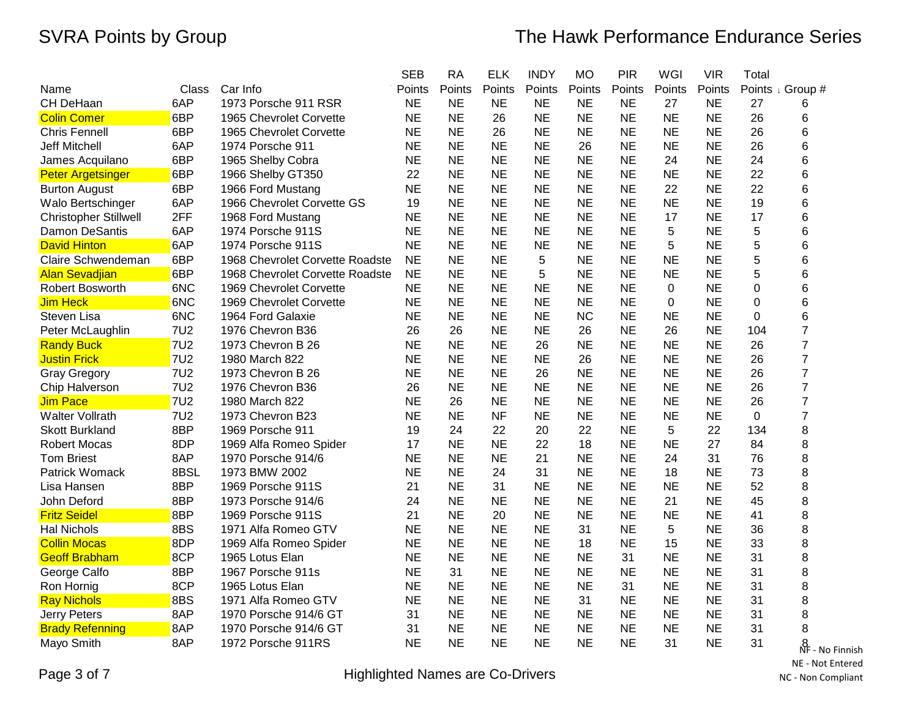|                              |            |                                 | <b>SEB</b> | <b>RA</b> | <b>ELK</b> | <b>INDY</b> | <b>MO</b> | <b>PIR</b> | WGI       | <b>VIR</b> | Total       |                       |
|------------------------------|------------|---------------------------------|------------|-----------|------------|-------------|-----------|------------|-----------|------------|-------------|-----------------------|
| Name                         | Class      | Car Info                        | Points     | Points    | Points     | Points      | Points    | Points     | Points    | Points     | Points      | I Group #             |
| CH DeHaan                    | 6AP        | 1973 Porsche 911 RSR            | <b>NE</b>  | <b>NE</b> | <b>NE</b>  | <b>NE</b>   | <b>NE</b> | <b>NE</b>  | 27        | <b>NE</b>  | 27          | 6                     |
| <b>Colin Comer</b>           | 6BP        | 1965 Chevrolet Corvette         | <b>NE</b>  | <b>NE</b> | 26         | <b>NE</b>   | <b>NE</b> | <b>NE</b>  | <b>NE</b> | <b>NE</b>  | 26          | 6                     |
| Chris Fennell                | 6BP        | 1965 Chevrolet Corvette         | <b>NE</b>  | <b>NE</b> | 26         | <b>NE</b>   | <b>NE</b> | <b>NE</b>  | <b>NE</b> | <b>NE</b>  | 26          | 6                     |
| <b>Jeff Mitchell</b>         | 6AP        | 1974 Porsche 911                | <b>NE</b>  | <b>NE</b> | <b>NE</b>  | <b>NE</b>   | 26        | <b>NE</b>  | <b>NE</b> | <b>NE</b>  | 26          | 6                     |
| James Acquilano              | 6BP        | 1965 Shelby Cobra               | <b>NE</b>  | <b>NE</b> | <b>NE</b>  | <b>NE</b>   | <b>NE</b> | <b>NE</b>  | 24        | <b>NE</b>  | 24          | 6                     |
| <b>Peter Argetsinger</b>     | 6BP        | 1966 Shelby GT350               | 22         | <b>NE</b> | <b>NE</b>  | <b>NE</b>   | <b>NE</b> | <b>NE</b>  | <b>NE</b> | <b>NE</b>  | 22          | 6                     |
| <b>Burton August</b>         | 6BP        | 1966 Ford Mustang               | <b>NE</b>  | <b>NE</b> | <b>NE</b>  | <b>NE</b>   | <b>NE</b> | <b>NE</b>  | 22        | <b>NE</b>  | 22          | 6                     |
| Walo Bertschinger            | 6AP        | 1966 Chevrolet Corvette GS      | 19         | <b>NE</b> | <b>NE</b>  | <b>NE</b>   | <b>NE</b> | <b>NE</b>  | <b>NE</b> | <b>NE</b>  | 19          | 6                     |
| <b>Christopher Stillwell</b> | 2FF        | 1968 Ford Mustang               | <b>NE</b>  | <b>NE</b> | <b>NE</b>  | <b>NE</b>   | <b>NE</b> | <b>NE</b>  | 17        | <b>NE</b>  | 17          | 6                     |
| <b>Damon DeSantis</b>        | 6AP        | 1974 Porsche 911S               | <b>NE</b>  | <b>NE</b> | <b>NE</b>  | <b>NE</b>   | <b>NE</b> | <b>NE</b>  | 5         | <b>NE</b>  | 5           | 6                     |
| <b>David Hinton</b>          | 6AP        | 1974 Porsche 911S               | <b>NE</b>  | <b>NE</b> | <b>NE</b>  | <b>NE</b>   | <b>NE</b> | <b>NE</b>  | 5         | <b>NE</b>  | 5           | 6                     |
| Claire Schwendeman           | 6BP        | 1968 Chevrolet Corvette Roadste | <b>NE</b>  | <b>NE</b> | <b>NE</b>  | 5           | <b>NE</b> | <b>NE</b>  | <b>NE</b> | <b>NE</b>  | 5           | 6                     |
| <b>Alan Sevadjian</b>        | 6BP        | 1968 Chevrolet Corvette Roadste | <b>NE</b>  | <b>NE</b> | <b>NE</b>  | 5           | <b>NE</b> | <b>NE</b>  | <b>NE</b> | <b>NE</b>  | 5           | 6                     |
| <b>Robert Bosworth</b>       | 6NC        | 1969 Chevrolet Corvette         | <b>NE</b>  | <b>NE</b> | <b>NE</b>  | <b>NE</b>   | <b>NE</b> | <b>NE</b>  | 0         | <b>NE</b>  | $\mathbf 0$ | 6                     |
| <b>Jim Heck</b>              | 6NC        | 1969 Chevrolet Corvette         | <b>NE</b>  | <b>NE</b> | <b>NE</b>  | <b>NE</b>   | <b>NE</b> | <b>NE</b>  | 0         | <b>NE</b>  | 0           | 6                     |
| Steven Lisa                  | 6NC        | 1964 Ford Galaxie               | <b>NE</b>  | <b>NE</b> | <b>NE</b>  | <b>NE</b>   | <b>NC</b> | <b>NE</b>  | <b>NE</b> | <b>NE</b>  | 0           | 6                     |
| Peter McLaughlin             | <b>7U2</b> | 1976 Chevron B36                | 26         | 26        | <b>NE</b>  | <b>NE</b>   | 26        | <b>NE</b>  | 26        | <b>NE</b>  | 104         | 7                     |
| <b>Randy Buck</b>            | <b>7U2</b> | 1973 Chevron B 26               | <b>NE</b>  | <b>NE</b> | <b>NE</b>  | 26          | <b>NE</b> | <b>NE</b>  | <b>NE</b> | <b>NE</b>  | 26          | $\overline{7}$        |
| <b>Justin Frick</b>          | <b>7U2</b> | 1980 March 822                  | <b>NE</b>  | <b>NE</b> | <b>NE</b>  | <b>NE</b>   | 26        | <b>NE</b>  | <b>NE</b> | <b>NE</b>  | 26          | $\overline{7}$        |
| <b>Gray Gregory</b>          | <b>7U2</b> | 1973 Chevron B 26               | <b>NE</b>  | <b>NE</b> | <b>NE</b>  | 26          | <b>NE</b> | <b>NE</b>  | <b>NE</b> | <b>NE</b>  | 26          | $\overline{7}$        |
| Chip Halverson               | <b>7U2</b> | 1976 Chevron B36                | 26         | <b>NE</b> | <b>NE</b>  | <b>NE</b>   | <b>NE</b> | <b>NE</b>  | <b>NE</b> | <b>NE</b>  | 26          | $\overline{7}$        |
| <b>Jim Pace</b>              | <b>7U2</b> | 1980 March 822                  | <b>NE</b>  | 26        | <b>NE</b>  | <b>NE</b>   | <b>NE</b> | <b>NE</b>  | <b>NE</b> | <b>NE</b>  | 26          | $\overline{7}$        |
| <b>Walter Vollrath</b>       | <b>7U2</b> | 1973 Chevron B23                | <b>NE</b>  | <b>NE</b> | <b>NF</b>  | <b>NE</b>   | <b>NE</b> | <b>NE</b>  | <b>NE</b> | <b>NE</b>  | 0           | $\overline{7}$        |
| <b>Skott Burkland</b>        | 8BP        | 1969 Porsche 911                | 19         | 24        | 22         | 20          | 22        | <b>NE</b>  | 5         | 22         | 134         | 8                     |
| <b>Robert Mocas</b>          | 8DP        | 1969 Alfa Romeo Spider          | 17         | <b>NE</b> | <b>NE</b>  | 22          | 18        | <b>NE</b>  | <b>NE</b> | 27         | 84          | 8                     |
| <b>Tom Briest</b>            | 8AP        | 1970 Porsche 914/6              | <b>NE</b>  | <b>NE</b> | <b>NE</b>  | 21          | <b>NE</b> | <b>NE</b>  | 24        | 31         | 76          | 8                     |
| Patrick Womack               | 8BSL       | 1973 BMW 2002                   | <b>NE</b>  | <b>NE</b> | 24         | 31          | <b>NE</b> | <b>NE</b>  | 18        | <b>NE</b>  | 73          | 8                     |
| Lisa Hansen                  | 8BP        | 1969 Porsche 911S               | 21         | <b>NE</b> | 31         | <b>NE</b>   | <b>NE</b> | <b>NE</b>  | <b>NE</b> | <b>NE</b>  | 52          | 8                     |
| John Deford                  | 8BP        | 1973 Porsche 914/6              | 24         | <b>NE</b> | <b>NE</b>  | <b>NE</b>   | <b>NE</b> | <b>NE</b>  | 21        | <b>NE</b>  | 45          | 8                     |
| <b>Fritz Seidel</b>          | 8BP        | 1969 Porsche 911S               | 21         | <b>NE</b> | 20         | <b>NE</b>   | <b>NE</b> | <b>NE</b>  | <b>NE</b> | <b>NE</b>  | 41          | 8                     |
| Hal Nichols                  | 8BS        | 1971 Alfa Romeo GTV             | <b>NE</b>  | <b>NE</b> | <b>NE</b>  | <b>NE</b>   | 31        | <b>NE</b>  | 5         | <b>NE</b>  | 36          | 8                     |
| <b>Collin Mocas</b>          | 8DP        | 1969 Alfa Romeo Spider          | <b>NE</b>  | <b>NE</b> | <b>NE</b>  | <b>NE</b>   | 18        | <b>NE</b>  | 15        | <b>NE</b>  | 33          | 8                     |
| <b>Geoff Brabham</b>         | 8CP        | 1965 Lotus Elan                 | <b>NE</b>  | <b>NE</b> | <b>NE</b>  | <b>NE</b>   | <b>NE</b> | 31         | <b>NE</b> | <b>NE</b>  | 31          | 8                     |
| George Calfo                 | 8BP        | 1967 Porsche 911s               | <b>NE</b>  | 31        | <b>NE</b>  | <b>NE</b>   | <b>NE</b> | <b>NE</b>  | <b>NE</b> | <b>NE</b>  | 31          | 8                     |
| Ron Hornig                   | 8CP        | 1965 Lotus Elan                 | <b>NE</b>  | <b>NE</b> | <b>NE</b>  | <b>NE</b>   | <b>NE</b> | 31         | <b>NE</b> | <b>NE</b>  | 31          | 8                     |
| <b>Ray Nichols</b>           | 8BS        | 1971 Alfa Romeo GTV             | <b>NE</b>  | <b>NE</b> | <b>NE</b>  | <b>NE</b>   | 31        | <b>NE</b>  | <b>NE</b> | <b>NE</b>  | 31          | 8                     |
| <b>Jerry Peters</b>          | 8AP        | 1970 Porsche 914/6 GT           | 31         | <b>NE</b> | <b>NE</b>  | <b>NE</b>   | <b>NE</b> | <b>NE</b>  | <b>NE</b> | <b>NE</b>  | 31          | 8                     |
| <b>Brady Refenning</b>       | 8AP        | 1970 Porsche 914/6 GT           | 31         | <b>NE</b> | <b>NE</b>  | <b>NE</b>   | <b>NE</b> | <b>NE</b>  | <b>NE</b> | <b>NE</b>  | 31          | 8                     |
| Mayo Smith                   | 8AP        | 1972 Porsche 911RS              | <b>NE</b>  | <b>NE</b> | <b>NE</b>  | <b>NE</b>   | <b>NE</b> | <b>NE</b>  | 31        | <b>NE</b>  | 31          | $\frac{8}{505}$ - No. |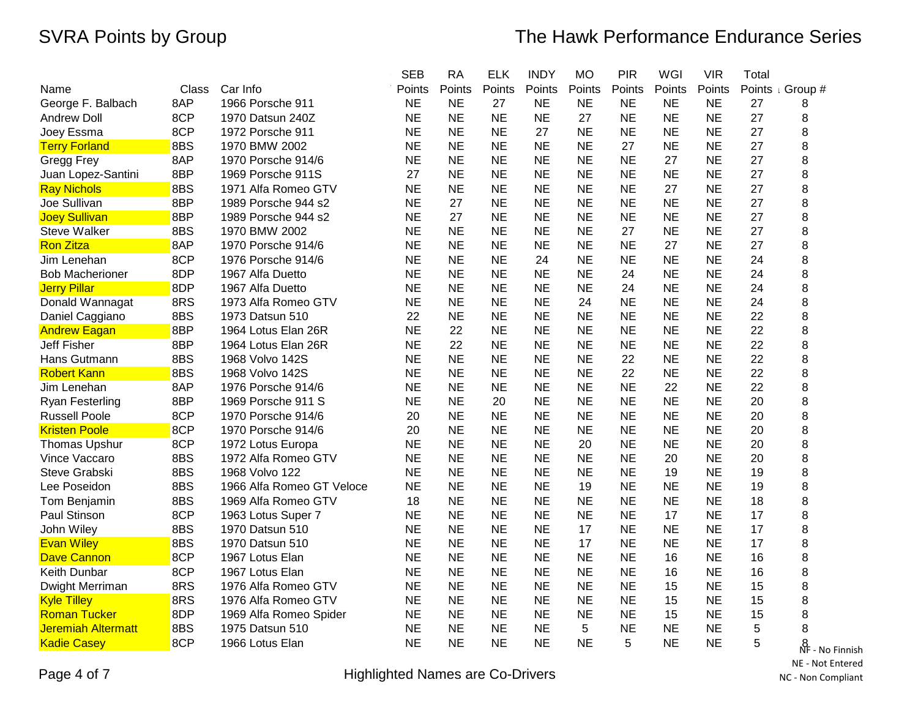|                           |       |                           | <b>SEB</b> | <b>RA</b> | <b>ELK</b> | <b>INDY</b> | <b>MO</b> | <b>PIR</b> | WGI       | <b>VIR</b> | Total |                           |
|---------------------------|-------|---------------------------|------------|-----------|------------|-------------|-----------|------------|-----------|------------|-------|---------------------------|
| Name                      | Class | Car Info                  | Points     | Points    | Points     | Points      | Points    | Points     | Points    | Points     |       | Points & Group #          |
| George F. Balbach         | 8AP   | 1966 Porsche 911          | <b>NE</b>  | <b>NE</b> | 27         | <b>NE</b>   | <b>NE</b> | <b>NE</b>  | <b>NE</b> | <b>NE</b>  | 27    | 8                         |
| Andrew Doll               | 8CP   | 1970 Datsun 240Z          | <b>NE</b>  | <b>NE</b> | <b>NE</b>  | <b>NE</b>   | 27        | <b>NE</b>  | <b>NE</b> | <b>NE</b>  | 27    | 8                         |
| Joey Essma                | 8CP   | 1972 Porsche 911          | <b>NE</b>  | <b>NE</b> | <b>NE</b>  | 27          | <b>NE</b> | <b>NE</b>  | <b>NE</b> | <b>NE</b>  | 27    | 8                         |
| <b>Terry Forland</b>      | 8BS   | 1970 BMW 2002             | <b>NE</b>  | <b>NE</b> | <b>NE</b>  | <b>NE</b>   | <b>NE</b> | 27         | <b>NE</b> | <b>NE</b>  | 27    | 8                         |
| Gregg Frey                | 8AP   | 1970 Porsche 914/6        | <b>NE</b>  | <b>NE</b> | <b>NE</b>  | <b>NE</b>   | <b>NE</b> | <b>NE</b>  | 27        | <b>NE</b>  | 27    | 8                         |
| Juan Lopez-Santini        | 8BP   | 1969 Porsche 911S         | 27         | <b>NE</b> | <b>NE</b>  | <b>NE</b>   | <b>NE</b> | <b>NE</b>  | <b>NE</b> | <b>NE</b>  | 27    | 8                         |
| <b>Ray Nichols</b>        | 8BS   | 1971 Alfa Romeo GTV       | <b>NE</b>  | <b>NE</b> | <b>NE</b>  | <b>NE</b>   | <b>NE</b> | <b>NE</b>  | 27        | <b>NE</b>  | 27    | 8                         |
| Joe Sullivan              | 8BP   | 1989 Porsche 944 s2       | <b>NE</b>  | 27        | <b>NE</b>  | <b>NE</b>   | <b>NE</b> | <b>NE</b>  | <b>NE</b> | <b>NE</b>  | 27    | 8                         |
| <b>Joey Sullivan</b>      | 8BP   | 1989 Porsche 944 s2       | <b>NE</b>  | 27        | <b>NE</b>  | <b>NE</b>   | <b>NE</b> | <b>NE</b>  | <b>NE</b> | <b>NE</b>  | 27    | 8                         |
| <b>Steve Walker</b>       | 8BS   | 1970 BMW 2002             | <b>NE</b>  | <b>NE</b> | <b>NE</b>  | <b>NE</b>   | <b>NE</b> | 27         | <b>NE</b> | <b>NE</b>  | 27    | 8                         |
| <b>Ron Zitza</b>          | 8AP   | 1970 Porsche 914/6        | <b>NE</b>  | <b>NE</b> | <b>NE</b>  | <b>NE</b>   | <b>NE</b> | <b>NE</b>  | 27        | <b>NE</b>  | 27    | 8                         |
| Jim Lenehan               | 8CP   | 1976 Porsche 914/6        | <b>NE</b>  | <b>NE</b> | <b>NE</b>  | 24          | <b>NE</b> | <b>NE</b>  | <b>NE</b> | <b>NE</b>  | 24    | 8                         |
| <b>Bob Macherioner</b>    | 8DP   | 1967 Alfa Duetto          | <b>NE</b>  | <b>NE</b> | <b>NE</b>  | <b>NE</b>   | <b>NE</b> | 24         | <b>NE</b> | <b>NE</b>  | 24    | 8                         |
| <b>Jerry Pillar</b>       | 8DP   | 1967 Alfa Duetto          | <b>NE</b>  | <b>NE</b> | <b>NE</b>  | <b>NE</b>   | <b>NE</b> | 24         | <b>NE</b> | <b>NE</b>  | 24    | 8                         |
| Donald Wannagat           | 8RS   | 1973 Alfa Romeo GTV       | <b>NE</b>  | <b>NE</b> | <b>NE</b>  | <b>NE</b>   | 24        | <b>NE</b>  | <b>NE</b> | <b>NE</b>  | 24    | 8                         |
| Daniel Caggiano           | 8BS   | 1973 Datsun 510           | 22         | <b>NE</b> | <b>NE</b>  | <b>NE</b>   | <b>NE</b> | <b>NE</b>  | <b>NE</b> | <b>NE</b>  | 22    | 8                         |
| <b>Andrew Eagan</b>       | 8BP   | 1964 Lotus Elan 26R       | <b>NE</b>  | 22        | <b>NE</b>  | <b>NE</b>   | <b>NE</b> | <b>NE</b>  | <b>NE</b> | <b>NE</b>  | 22    | 8                         |
| <b>Jeff Fisher</b>        | 8BP   | 1964 Lotus Elan 26R       | <b>NE</b>  | 22        | <b>NE</b>  | <b>NE</b>   | <b>NE</b> | <b>NE</b>  | <b>NE</b> | <b>NE</b>  | 22    | 8                         |
| Hans Gutmann              | 8BS   | 1968 Volvo 142S           | <b>NE</b>  | <b>NE</b> | <b>NE</b>  | <b>NE</b>   | NE        | 22         | <b>NE</b> | <b>NE</b>  | 22    | 8                         |
| <b>Robert Kann</b>        | 8BS   | 1968 Volvo 142S           | <b>NE</b>  | <b>NE</b> | <b>NE</b>  | <b>NE</b>   | <b>NE</b> | 22         | <b>NE</b> | <b>NE</b>  | 22    | 8                         |
| Jim Lenehan               | 8AP   | 1976 Porsche 914/6        | <b>NE</b>  | <b>NE</b> | <b>NE</b>  | <b>NE</b>   | <b>NE</b> | <b>NE</b>  | 22        | <b>NE</b>  | 22    | 8                         |
| Ryan Festerling           | 8BP   | 1969 Porsche 911 S        | <b>NE</b>  | <b>NE</b> | 20         | <b>NE</b>   | <b>NE</b> | <b>NE</b>  | <b>NE</b> | <b>NE</b>  | 20    | 8                         |
| <b>Russell Poole</b>      | 8CP   | 1970 Porsche 914/6        | 20         | <b>NE</b> | <b>NE</b>  | <b>NE</b>   | <b>NE</b> | <b>NE</b>  | <b>NE</b> | <b>NE</b>  | 20    | 8                         |
| <b>Kristen Poole</b>      | 8CP   | 1970 Porsche 914/6        | 20         | <b>NE</b> | <b>NE</b>  | <b>NE</b>   | <b>NE</b> | <b>NE</b>  | <b>NE</b> | <b>NE</b>  | 20    | 8                         |
| <b>Thomas Upshur</b>      | 8CP   | 1972 Lotus Europa         | <b>NE</b>  | <b>NE</b> | <b>NE</b>  | <b>NE</b>   | 20        | <b>NE</b>  | <b>NE</b> | <b>NE</b>  | 20    | 8                         |
| Vince Vaccaro             | 8BS   | 1972 Alfa Romeo GTV       | <b>NE</b>  | <b>NE</b> | <b>NE</b>  | <b>NE</b>   | <b>NE</b> | <b>NE</b>  | 20        | <b>NE</b>  | 20    | 8                         |
| Steve Grabski             | 8BS   | 1968 Volvo 122            | <b>NE</b>  | <b>NE</b> | <b>NE</b>  | <b>NE</b>   | <b>NE</b> | <b>NE</b>  | 19        | <b>NE</b>  | 19    | 8                         |
| Lee Poseidon              | 8BS   | 1966 Alfa Romeo GT Veloce | <b>NE</b>  | <b>NE</b> | <b>NE</b>  | <b>NE</b>   | 19        | <b>NE</b>  | <b>NE</b> | <b>NE</b>  | 19    | 8                         |
| Tom Benjamin              | 8BS   | 1969 Alfa Romeo GTV       | 18         | <b>NE</b> | <b>NE</b>  | <b>NE</b>   | <b>NE</b> | <b>NE</b>  | <b>NE</b> | <b>NE</b>  | 18    | 8                         |
| Paul Stinson              | 8CP   | 1963 Lotus Super 7        | <b>NE</b>  | <b>NE</b> | <b>NE</b>  | <b>NE</b>   | <b>NE</b> | <b>NE</b>  | 17        | <b>NE</b>  | 17    | 8                         |
| John Wiley                | 8BS   | 1970 Datsun 510           | <b>NE</b>  | <b>NE</b> | <b>NE</b>  | <b>NE</b>   | 17        | <b>NE</b>  | <b>NE</b> | <b>NE</b>  | 17    | 8                         |
| <b>Evan Wiley</b>         | 8BS   | 1970 Datsun 510           | <b>NE</b>  | <b>NE</b> | <b>NE</b>  | <b>NE</b>   | 17        | <b>NE</b>  | <b>NE</b> | <b>NE</b>  | 17    | 8                         |
| <b>Dave Cannon</b>        | 8CP   | 1967 Lotus Elan           | <b>NE</b>  | <b>NE</b> | <b>NE</b>  | <b>NE</b>   | <b>NE</b> | <b>NE</b>  | 16        | <b>NE</b>  | 16    | 8                         |
| Keith Dunbar              | 8CP   | 1967 Lotus Elan           | <b>NE</b>  | <b>NE</b> | <b>NE</b>  | <b>NE</b>   | <b>NE</b> | <b>NE</b>  | 16        | <b>NE</b>  | 16    | 8                         |
| Dwight Merriman           | 8RS   | 1976 Alfa Romeo GTV       | <b>NE</b>  | <b>NE</b> | <b>NE</b>  | <b>NE</b>   | <b>NE</b> | <b>NE</b>  | 15        | <b>NE</b>  | 15    | 8                         |
| <b>Kyle Tilley</b>        | 8RS   | 1976 Alfa Romeo GTV       | <b>NE</b>  | <b>NE</b> | <b>NE</b>  | <b>NE</b>   | <b>NE</b> | <b>NE</b>  | 15        | <b>NE</b>  | 15    | 8                         |
| <b>Roman Tucker</b>       | 8DP   | 1969 Alfa Romeo Spider    | <b>NE</b>  | <b>NE</b> | <b>NE</b>  | <b>NE</b>   | <b>NE</b> | <b>NE</b>  | 15        | <b>NE</b>  | 15    | 8                         |
| <b>Jeremiah Altermatt</b> | 8BS   | 1975 Datsun 510           | <b>NE</b>  | <b>NE</b> | <b>NE</b>  | <b>NE</b>   | 5         | <b>NE</b>  | <b>NE</b> | <b>NE</b>  | 5     | 8                         |
| <b>Kadie Casey</b>        | 8CP   | 1966 Lotus Elan           | <b>NE</b>  | <b>NE</b> | <b>NE</b>  | <b>NE</b>   | <b>NE</b> | 5          | <b>NE</b> | <b>NE</b>  | 5     | $\frac{8}{\sqrt{5}}$ - No |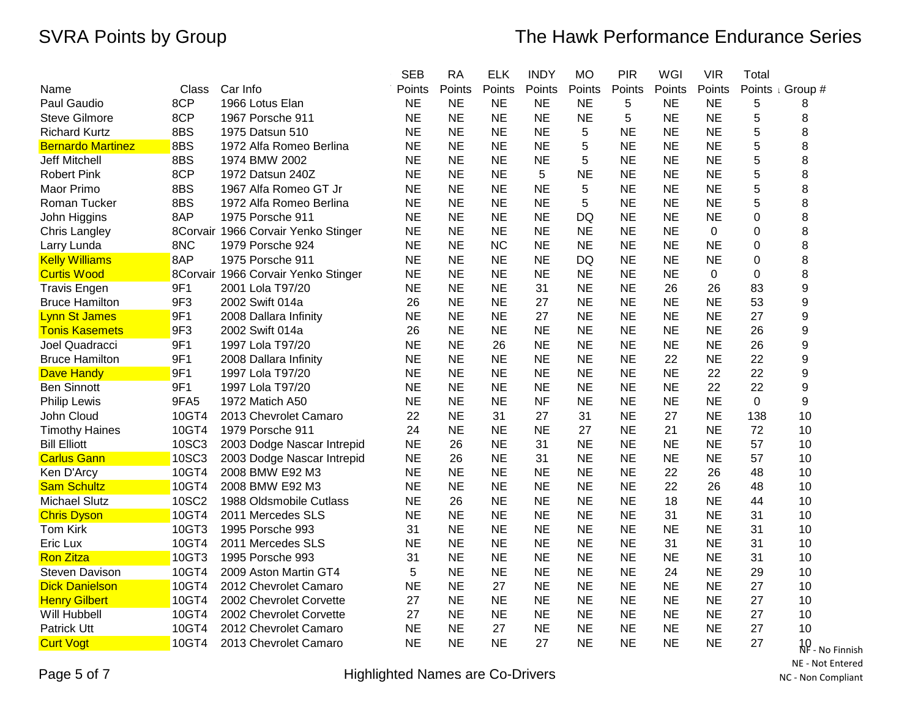|                          |       |                                     | <b>SEB</b> | <b>RA</b> | <b>ELK</b> | <b>INDY</b> | <b>MO</b> | <b>PIR</b> | WGI       | <b>VIR</b>  | Total          |                             |
|--------------------------|-------|-------------------------------------|------------|-----------|------------|-------------|-----------|------------|-----------|-------------|----------------|-----------------------------|
| Name                     | Class | Car Info                            | Points     | Points    | Points     | Points      | Points    | Points     | Points    | Points      |                | Points <sub>I</sub> Group # |
| Paul Gaudio              | 8CP   | 1966 Lotus Elan                     | <b>NE</b>  | <b>NE</b> | <b>NE</b>  | <b>NE</b>   | <b>NE</b> | 5          | NE.       | <b>NE</b>   | 5              | 8                           |
| <b>Steve Gilmore</b>     | 8CP   | 1967 Porsche 911                    | <b>NE</b>  | <b>NE</b> | <b>NE</b>  | <b>NE</b>   | <b>NE</b> | 5          | <b>NE</b> | <b>NE</b>   | 5              | 8                           |
| <b>Richard Kurtz</b>     | 8BS   | 1975 Datsun 510                     | <b>NE</b>  | <b>NE</b> | <b>NE</b>  | <b>NE</b>   | 5         | <b>NE</b>  | <b>NE</b> | <b>NE</b>   | 5              | 8                           |
| <b>Bernardo Martinez</b> | 8BS   | 1972 Alfa Romeo Berlina             | <b>NE</b>  | <b>NE</b> | <b>NE</b>  | <b>NE</b>   | 5         | <b>NE</b>  | <b>NE</b> | <b>NE</b>   | 5              | 8                           |
| <b>Jeff Mitchell</b>     | 8BS   | 1974 BMW 2002                       | <b>NE</b>  | <b>NE</b> | <b>NE</b>  | <b>NE</b>   | 5         | <b>NE</b>  | <b>NE</b> | <b>NE</b>   | 5              | 8                           |
| <b>Robert Pink</b>       | 8CP   | 1972 Datsun 240Z                    | <b>NE</b>  | <b>NE</b> | <b>NE</b>  | 5           | <b>NE</b> | <b>NE</b>  | <b>NE</b> | <b>NE</b>   | 5              | 8                           |
| Maor Primo               | 8BS   | 1967 Alfa Romeo GT Jr               | <b>NE</b>  | <b>NE</b> | <b>NE</b>  | <b>NE</b>   | 5         | <b>NE</b>  | <b>NE</b> | <b>NE</b>   | 5              | 8                           |
| Roman Tucker             | 8BS   | 1972 Alfa Romeo Berlina             | <b>NE</b>  | <b>NE</b> | <b>NE</b>  | <b>NE</b>   | 5         | <b>NE</b>  | <b>NE</b> | <b>NE</b>   | 5              | 8                           |
| John Higgins             | 8AP   | 1975 Porsche 911                    | <b>NE</b>  | <b>NE</b> | <b>NE</b>  | <b>NE</b>   | DQ        | <b>NE</b>  | <b>NE</b> | <b>NE</b>   | 0              | 8                           |
| <b>Chris Langley</b>     |       | 8Corvair 1966 Corvair Yenko Stinger | <b>NE</b>  | <b>NE</b> | <b>NE</b>  | <b>NE</b>   | <b>NE</b> | <b>NE</b>  | <b>NE</b> | $\mathbf 0$ | $\overline{0}$ | 8                           |
| Larry Lunda              | 8NC   | 1979 Porsche 924                    | <b>NE</b>  | <b>NE</b> | <b>NC</b>  | <b>NE</b>   | <b>NE</b> | <b>NE</b>  | <b>NE</b> | <b>NE</b>   | 0              | 8                           |
| <b>Kelly Williams</b>    | 8AP   | 1975 Porsche 911                    | <b>NE</b>  | <b>NE</b> | <b>NE</b>  | <b>NE</b>   | <b>DQ</b> | <b>NE</b>  | <b>NE</b> | <b>NE</b>   | $\Omega$       | 8                           |
| <b>Curtis Wood</b>       |       | 8Corvair 1966 Corvair Yenko Stinger | <b>NE</b>  | <b>NE</b> | <b>NE</b>  | <b>NE</b>   | <b>NE</b> | <b>NE</b>  | <b>NE</b> | 0           | 0              | 8                           |
| <b>Travis Engen</b>      | 9F1   | 2001 Lola T97/20                    | <b>NE</b>  | <b>NE</b> | <b>NE</b>  | 31          | <b>NE</b> | <b>NE</b>  | 26        | 26          | 83             | 9                           |
| <b>Bruce Hamilton</b>    | 9F3   | 2002 Swift 014a                     | 26         | <b>NE</b> | <b>NE</b>  | 27          | <b>NE</b> | <b>NE</b>  | <b>NE</b> | <b>NE</b>   | 53             | 9                           |
| Lynn St James            | 9F1   | 2008 Dallara Infinity               | <b>NE</b>  | <b>NE</b> | <b>NE</b>  | 27          | <b>NE</b> | <b>NE</b>  | <b>NE</b> | <b>NE</b>   | 27             | 9                           |
| <b>Tonis Kasemets</b>    | 9F3   | 2002 Swift 014a                     | 26         | <b>NE</b> | <b>NE</b>  | <b>NE</b>   | <b>NE</b> | <b>NE</b>  | <b>NE</b> | <b>NE</b>   | 26             | 9                           |
| Joel Quadracci           | 9F1   | 1997 Lola T97/20                    | <b>NE</b>  | <b>NE</b> | 26         | <b>NE</b>   | <b>NE</b> | <b>NE</b>  | <b>NE</b> | <b>NE</b>   | 26             | 9                           |
| <b>Bruce Hamilton</b>    | 9F1   | 2008 Dallara Infinity               | <b>NE</b>  | <b>NE</b> | <b>NE</b>  | <b>NE</b>   | <b>NE</b> | <b>NE</b>  | 22        | <b>NE</b>   | 22             | 9                           |
| <b>Dave Handy</b>        | 9F1   | 1997 Lola T97/20                    | <b>NE</b>  | <b>NE</b> | <b>NE</b>  | <b>NE</b>   | <b>NE</b> | <b>NE</b>  | <b>NE</b> | 22          | 22             | 9                           |
| <b>Ben Sinnott</b>       | 9F1   | 1997 Lola T97/20                    | <b>NE</b>  | <b>NE</b> | <b>NE</b>  | <b>NE</b>   | <b>NE</b> | <b>NE</b>  | <b>NE</b> | 22          | 22             | 9                           |
| <b>Philip Lewis</b>      | 9FA5  | 1972 Matich A50                     | <b>NE</b>  | <b>NE</b> | <b>NE</b>  | <b>NF</b>   | <b>NE</b> | <b>NE</b>  | <b>NE</b> | <b>NE</b>   | 0              | 9                           |
| John Cloud               | 10GT4 | 2013 Chevrolet Camaro               | 22         | <b>NE</b> | 31         | 27          | 31        | <b>NE</b>  | 27        | <b>NE</b>   | 138            | 10                          |
| <b>Timothy Haines</b>    | 10GT4 | 1979 Porsche 911                    | 24         | <b>NE</b> | <b>NE</b>  | <b>NE</b>   | 27        | <b>NE</b>  | 21        | <b>NE</b>   | 72             | 10                          |
| <b>Bill Elliott</b>      | 10SC3 | 2003 Dodge Nascar Intrepid          | <b>NE</b>  | 26        | <b>NE</b>  | 31          | <b>NE</b> | <b>NE</b>  | <b>NE</b> | <b>NE</b>   | 57             | 10                          |
| <b>Carlus Gann</b>       | 10SC3 | 2003 Dodge Nascar Intrepid          | <b>NE</b>  | 26        | <b>NE</b>  | 31          | <b>NE</b> | <b>NE</b>  | <b>NE</b> | <b>NE</b>   | 57             | 10                          |
| Ken D'Arcy               | 10GT4 | 2008 BMW E92 M3                     | <b>NE</b>  | <b>NE</b> | <b>NE</b>  | <b>NE</b>   | <b>NE</b> | <b>NE</b>  | 22        | 26          | 48             | 10                          |
| <b>Sam Schultz</b>       | 10GT4 | 2008 BMW E92 M3                     | <b>NE</b>  | <b>NE</b> | <b>NE</b>  | <b>NE</b>   | <b>NE</b> | <b>NE</b>  | 22        | 26          | 48             | 10                          |
| <b>Michael Slutz</b>     | 10SC2 | 1988 Oldsmobile Cutlass             | <b>NE</b>  | 26        | <b>NE</b>  | <b>NE</b>   | <b>NE</b> | <b>NE</b>  | 18        | <b>NE</b>   | 44             | 10                          |
| <b>Chris Dyson</b>       | 10GT4 | 2011 Mercedes SLS                   | <b>NE</b>  | <b>NE</b> | <b>NE</b>  | <b>NE</b>   | <b>NE</b> | <b>NE</b>  | 31        | <b>NE</b>   | 31             | 10                          |
| <b>Tom Kirk</b>          | 10GT3 | 1995 Porsche 993                    | 31         | <b>NE</b> | <b>NE</b>  | <b>NE</b>   | <b>NE</b> | <b>NE</b>  | <b>NE</b> | <b>NE</b>   | 31             | 10                          |
| Eric Lux                 | 10GT4 | 2011 Mercedes SLS                   | <b>NE</b>  | <b>NE</b> | <b>NE</b>  | <b>NE</b>   | <b>NE</b> | <b>NE</b>  | 31        | <b>NE</b>   | 31             | 10                          |
| <b>Ron Zitza</b>         | 10GT3 | 1995 Porsche 993                    | 31         | <b>NE</b> | <b>NE</b>  | <b>NE</b>   | <b>NE</b> | <b>NE</b>  | <b>NE</b> | <b>NE</b>   | 31             | 10                          |
| <b>Steven Davison</b>    | 10GT4 | 2009 Aston Martin GT4               | 5          | <b>NE</b> | <b>NE</b>  | <b>NE</b>   | <b>NE</b> | <b>NE</b>  | 24        | <b>NE</b>   | 29             | 10                          |
| <b>Dick Danielson</b>    | 10GT4 | 2012 Chevrolet Camaro               | <b>NE</b>  | <b>NE</b> | 27         | <b>NE</b>   | <b>NE</b> | <b>NE</b>  | <b>NE</b> | <b>NE</b>   | 27             | 10                          |
| <b>Henry Gilbert</b>     | 10GT4 | 2002 Chevrolet Corvette             | 27         | <b>NE</b> | <b>NE</b>  | <b>NE</b>   | <b>NE</b> | <b>NE</b>  | <b>NE</b> | <b>NE</b>   | 27             | 10                          |
| Will Hubbell             | 10GT4 | 2002 Chevrolet Corvette             | 27         | <b>NE</b> | <b>NE</b>  | <b>NE</b>   | <b>NE</b> | <b>NE</b>  | <b>NE</b> | <b>NE</b>   | 27             | 10                          |
| <b>Patrick Utt</b>       | 10GT4 | 2012 Chevrolet Camaro               | <b>NE</b>  | <b>NE</b> | 27         | <b>NE</b>   | <b>NE</b> | <b>NE</b>  | <b>NE</b> | <b>NE</b>   | 27             | 10                          |
| <b>Curt Vogt</b>         | 10GT4 | 2013 Chevrolet Camaro               | <b>NE</b>  | <b>NE</b> | <b>NE</b>  | 27          | <b>NE</b> | <b>NE</b>  | <b>NE</b> | <b>NE</b>   | 27             | 10 <sub>10</sub>            |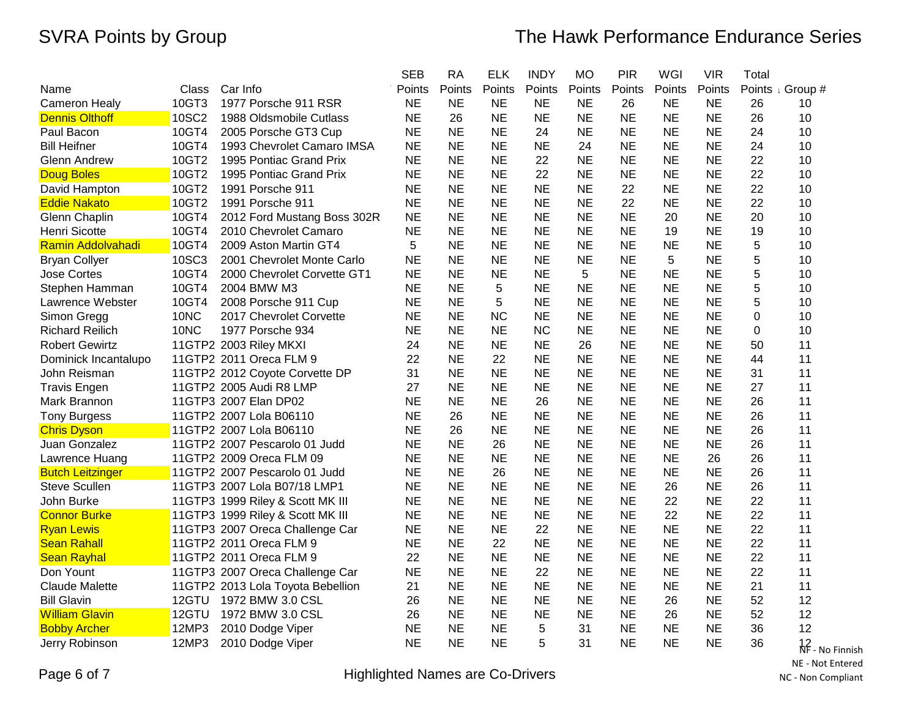|                          |       |                                   | <b>SEB</b> | <b>RA</b> | <b>ELK</b> | <b>INDY</b> | <b>MO</b> | <b>PIR</b> | WGI       | <b>VIR</b> | Total       |                 |
|--------------------------|-------|-----------------------------------|------------|-----------|------------|-------------|-----------|------------|-----------|------------|-------------|-----------------|
| Name                     | Class | Car Info                          | Points     | Points    | Points     | Points      | Points    | Points     | Points    | Points     | Points      | Group #         |
| <b>Cameron Healy</b>     | 10GT3 | 1977 Porsche 911 RSR              | <b>NE</b>  | <b>NE</b> | <b>NE</b>  | <b>NE</b>   | <b>NE</b> | 26         | <b>NE</b> | <b>NE</b>  | 26          | 10              |
| <b>Dennis Olthoff</b>    | 10SC2 | 1988 Oldsmobile Cutlass           | <b>NE</b>  | 26        | <b>NE</b>  | <b>NE</b>   | <b>NE</b> | <b>NE</b>  | <b>NE</b> | <b>NE</b>  | 26          | 10              |
| Paul Bacon               | 10GT4 | 2005 Porsche GT3 Cup              | <b>NE</b>  | <b>NE</b> | <b>NE</b>  | 24          | <b>NE</b> | <b>NE</b>  | <b>NE</b> | <b>NE</b>  | 24          | 10              |
| <b>Bill Heifner</b>      | 10GT4 | 1993 Chevrolet Camaro IMSA        | <b>NE</b>  | <b>NE</b> | <b>NE</b>  | <b>NE</b>   | 24        | <b>NE</b>  | <b>NE</b> | <b>NE</b>  | 24          | 10              |
| Glenn Andrew             | 10GT2 | 1995 Pontiac Grand Prix           | <b>NE</b>  | <b>NE</b> | <b>NE</b>  | 22          | <b>NE</b> | <b>NE</b>  | <b>NE</b> | <b>NE</b>  | 22          | 10              |
| <b>Doug Boles</b>        | 10GT2 | 1995 Pontiac Grand Prix           | <b>NE</b>  | <b>NE</b> | <b>NE</b>  | 22          | <b>NE</b> | <b>NE</b>  | <b>NE</b> | <b>NE</b>  | 22          | 10              |
| David Hampton            | 10GT2 | 1991 Porsche 911                  | <b>NE</b>  | <b>NE</b> | <b>NE</b>  | <b>NE</b>   | <b>NE</b> | 22         | <b>NE</b> | <b>NE</b>  | 22          | 10              |
| <b>Eddie Nakato</b>      | 10GT2 | 1991 Porsche 911                  | <b>NE</b>  | <b>NE</b> | <b>NE</b>  | <b>NE</b>   | <b>NE</b> | 22         | <b>NE</b> | <b>NE</b>  | 22          | 10              |
| Glenn Chaplin            | 10GT4 | 2012 Ford Mustang Boss 302R       | <b>NE</b>  | <b>NE</b> | <b>NE</b>  | <b>NE</b>   | <b>NE</b> | <b>NE</b>  | 20        | <b>NE</b>  | 20          | 10              |
| Henri Sicotte            | 10GT4 | 2010 Chevrolet Camaro             | <b>NE</b>  | <b>NE</b> | <b>NE</b>  | <b>NE</b>   | <b>NE</b> | <b>NE</b>  | 19        | <b>NE</b>  | 19          | 10              |
| <b>Ramin Addolvahadi</b> | 10GT4 | 2009 Aston Martin GT4             | 5          | <b>NE</b> | <b>NE</b>  | <b>NE</b>   | <b>NE</b> | <b>NE</b>  | <b>NE</b> | <b>NE</b>  | 5           | 10              |
| <b>Bryan Collyer</b>     | 10SC3 | 2001 Chevrolet Monte Carlo        | <b>NE</b>  | <b>NE</b> | <b>NE</b>  | <b>NE</b>   | <b>NE</b> | <b>NE</b>  | 5         | <b>NE</b>  | 5           | 10              |
| <b>Jose Cortes</b>       | 10GT4 | 2000 Chevrolet Corvette GT1       | NE         | <b>NE</b> | <b>NE</b>  | <b>NE</b>   | 5         | <b>NE</b>  | <b>NE</b> | <b>NE</b>  | 5           | 10              |
| Stephen Hamman           | 10GT4 | 2004 BMW M3                       | <b>NE</b>  | <b>NE</b> | 5          | <b>NE</b>   | <b>NE</b> | <b>NE</b>  | <b>NE</b> | <b>NE</b>  | 5           | 10              |
| Lawrence Webster         | 10GT4 | 2008 Porsche 911 Cup              | <b>NE</b>  | <b>NE</b> | 5          | <b>NE</b>   | <b>NE</b> | <b>NE</b>  | <b>NE</b> | <b>NE</b>  | 5           | 10              |
| Simon Gregg              | 10NC  | 2017 Chevrolet Corvette           | <b>NE</b>  | <b>NE</b> | <b>NC</b>  | <b>NE</b>   | <b>NE</b> | <b>NE</b>  | <b>NE</b> | <b>NE</b>  | 0           | 10              |
| <b>Richard Reilich</b>   | 10NC  | 1977 Porsche 934                  | <b>NE</b>  | <b>NE</b> | <b>NE</b>  | <b>NC</b>   | <b>NE</b> | <b>NE</b>  | <b>NE</b> | <b>NE</b>  | $\mathbf 0$ | 10              |
| <b>Robert Gewirtz</b>    |       | 11GTP2 2003 Riley MKXI            | 24         | <b>NE</b> | <b>NE</b>  | <b>NE</b>   | 26        | <b>NE</b>  | <b>NE</b> | <b>NE</b>  | 50          | 11              |
| Dominick Incantalupo     |       | 11GTP2 2011 Oreca FLM 9           | 22         | <b>NE</b> | 22         | <b>NE</b>   | <b>NE</b> | <b>NE</b>  | <b>NE</b> | <b>NE</b>  | 44          | 11              |
| John Reisman             |       | 11GTP2 2012 Coyote Corvette DP    | 31         | <b>NE</b> | <b>NE</b>  | <b>NE</b>   | <b>NE</b> | <b>NE</b>  | <b>NE</b> | <b>NE</b>  | 31          | 11              |
| <b>Travis Engen</b>      |       | 11GTP2 2005 Audi R8 LMP           | 27         | <b>NE</b> | <b>NE</b>  | <b>NE</b>   | <b>NE</b> | <b>NE</b>  | <b>NE</b> | <b>NE</b>  | 27          | 11              |
| Mark Brannon             |       | 11GTP3 2007 Elan DP02             | <b>NE</b>  | <b>NE</b> | <b>NE</b>  | 26          | <b>NE</b> | <b>NE</b>  | <b>NE</b> | <b>NE</b>  | 26          | 11              |
| <b>Tony Burgess</b>      |       | 11GTP2 2007 Lola B06110           | <b>NE</b>  | 26        | <b>NE</b>  | <b>NE</b>   | <b>NE</b> | <b>NE</b>  | <b>NE</b> | <b>NE</b>  | 26          | 11              |
| <b>Chris Dyson</b>       |       | 11GTP2 2007 Lola B06110           | <b>NE</b>  | 26        | <b>NE</b>  | <b>NE</b>   | <b>NE</b> | <b>NE</b>  | <b>NE</b> | <b>NE</b>  | 26          | 11              |
| Juan Gonzalez            |       | 11GTP2 2007 Pescarolo 01 Judd     | <b>NE</b>  | <b>NE</b> | 26         | <b>NE</b>   | <b>NE</b> | <b>NE</b>  | <b>NE</b> | <b>NE</b>  | 26          | 11              |
| Lawrence Huang           |       | 11GTP2 2009 Oreca FLM 09          | <b>NE</b>  | <b>NE</b> | <b>NE</b>  | <b>NE</b>   | <b>NE</b> | <b>NE</b>  | <b>NE</b> | 26         | 26          | 11              |
| <b>Butch Leitzinger</b>  |       | 11GTP2 2007 Pescarolo 01 Judd     | <b>NE</b>  | <b>NE</b> | 26         | <b>NE</b>   | <b>NE</b> | <b>NE</b>  | <b>NE</b> | <b>NE</b>  | 26          | 11              |
| <b>Steve Scullen</b>     |       | 11GTP3 2007 Lola B07/18 LMP1      | <b>NE</b>  | <b>NE</b> | <b>NE</b>  | <b>NE</b>   | <b>NE</b> | <b>NE</b>  | 26        | <b>NE</b>  | 26          | 11              |
| John Burke               |       | 11GTP3 1999 Riley & Scott MK III  | <b>NE</b>  | <b>NE</b> | <b>NE</b>  | <b>NE</b>   | <b>NE</b> | <b>NE</b>  | 22        | <b>NE</b>  | 22          | 11              |
| <b>Connor Burke</b>      |       | 11GTP3 1999 Riley & Scott MK III  | <b>NE</b>  | <b>NE</b> | <b>NE</b>  | <b>NE</b>   | <b>NE</b> | <b>NE</b>  | 22        | <b>NE</b>  | 22          | 11              |
| <b>Ryan Lewis</b>        |       | 11GTP3 2007 Oreca Challenge Car   | <b>NE</b>  | <b>NE</b> | <b>NE</b>  | 22          | <b>NE</b> | <b>NE</b>  | <b>NE</b> | <b>NE</b>  | 22          | 11              |
| <b>Sean Rahall</b>       |       | 11GTP2 2011 Oreca FLM 9           | <b>NE</b>  | <b>NE</b> | 22         | <b>NE</b>   | <b>NE</b> | <b>NE</b>  | <b>NE</b> | <b>NE</b>  | 22          | 11              |
| <b>Sean Rayhal</b>       |       | 11GTP2 2011 Oreca FLM 9           | 22         | <b>NE</b> | <b>NE</b>  | <b>NE</b>   | <b>NE</b> | <b>NE</b>  | <b>NE</b> | <b>NE</b>  | 22          | 11              |
| Don Yount                |       | 11GTP3 2007 Oreca Challenge Car   | <b>NE</b>  | <b>NE</b> | <b>NE</b>  | 22          | <b>NE</b> | <b>NE</b>  | <b>NE</b> | <b>NE</b>  | 22          | 11              |
| <b>Claude Malette</b>    |       | 11GTP2 2013 Lola Toyota Bebellion | 21         | <b>NE</b> | <b>NE</b>  | <b>NE</b>   | <b>NE</b> | <b>NE</b>  | <b>NE</b> | <b>NE</b>  | 21          | 11              |
| <b>Bill Glavin</b>       | 12GTU | 1972 BMW 3.0 CSL                  | 26         | <b>NE</b> | <b>NE</b>  | <b>NE</b>   | <b>NE</b> | <b>NE</b>  | 26        | <b>NE</b>  | 52          | 12              |
| <b>William Glavin</b>    | 12GTU | 1972 BMW 3.0 CSL                  | 26         | <b>NE</b> | <b>NE</b>  | <b>NE</b>   | <b>NE</b> | <b>NE</b>  | 26        | <b>NE</b>  | 52          | 12              |
| <b>Bobby Archer</b>      | 12MP3 | 2010 Dodge Viper                  | <b>NE</b>  | <b>NE</b> | <b>NE</b>  | 5           | 31        | <b>NE</b>  | <b>NE</b> | <b>NE</b>  | 36          | 12              |
| Jerry Robinson           | 12MP3 | 2010 Dodge Viper                  | <b>NE</b>  | <b>NE</b> | <b>NE</b>  | 5           | 31        | <b>NE</b>  | <b>NE</b> | <b>NE</b>  | 36          | 12 <sub>1</sub> |